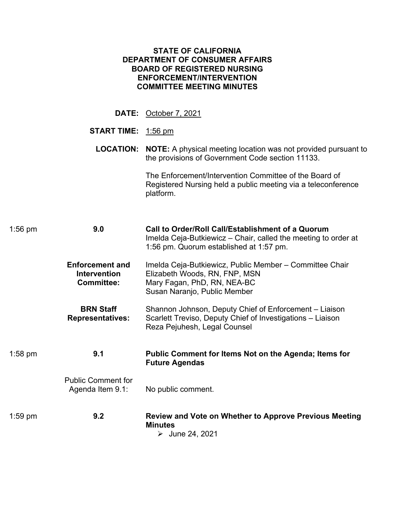| <b>STATE OF CALIFORNIA</b><br><b>DEPARTMENT OF CONSUMER AFFAIRS</b><br><b>BOARD OF REGISTERED NURSING</b><br><b>ENFORCEMENT/INTERVENTION</b><br><b>COMMITTEE MEETING MINUTES</b> |                                                                                                                                                                |  |  |  |
|----------------------------------------------------------------------------------------------------------------------------------------------------------------------------------|----------------------------------------------------------------------------------------------------------------------------------------------------------------|--|--|--|
|                                                                                                                                                                                  | DATE: October 7, 2021                                                                                                                                          |  |  |  |
| <b>START TIME:</b> 1:56 pm                                                                                                                                                       |                                                                                                                                                                |  |  |  |
| <b>LOCATION:</b>                                                                                                                                                                 | <b>NOTE:</b> A physical meeting location was not provided pursuant to<br>the provisions of Government Code section 11133.                                      |  |  |  |
|                                                                                                                                                                                  | The Enforcement/Intervention Committee of the Board of<br>Registered Nursing held a public meeting via a teleconference<br>platform.                           |  |  |  |
| 9.0<br>$1:56$ pm                                                                                                                                                                 | Call to Order/Roll Call/Establishment of a Quorum<br>Imelda Ceja-Butkiewicz – Chair, called the meeting to order at<br>1:56 pm. Quorum established at 1:57 pm. |  |  |  |
| <b>Enforcement and</b><br><b>Intervention</b><br><b>Committee:</b>                                                                                                               | Imelda Ceja-Butkiewicz, Public Member - Committee Chair<br>Elizabeth Woods, RN, FNP, MSN<br>Mary Fagan, PhD, RN, NEA-BC<br>Susan Naranjo, Public Member        |  |  |  |
| <b>BRN Staff</b><br><b>Representatives:</b>                                                                                                                                      | Shannon Johnson, Deputy Chief of Enforcement - Liaison<br>Scarlett Treviso, Deputy Chief of Investigations - Liaison<br>Reza Pejuhesh, Legal Counsel           |  |  |  |
| 9.1<br>$1:58$ pm                                                                                                                                                                 | Public Comment for Items Not on the Agenda; Items for<br><b>Future Agendas</b>                                                                                 |  |  |  |
| <b>Public Comment for</b><br>Agenda Item 9.1:                                                                                                                                    | No public comment.                                                                                                                                             |  |  |  |
| 9.2<br>$1:59$ pm                                                                                                                                                                 | <b>Review and Vote on Whether to Approve Previous Meeting</b><br><b>Minutes</b><br>$\triangleright$ June 24, 2021                                              |  |  |  |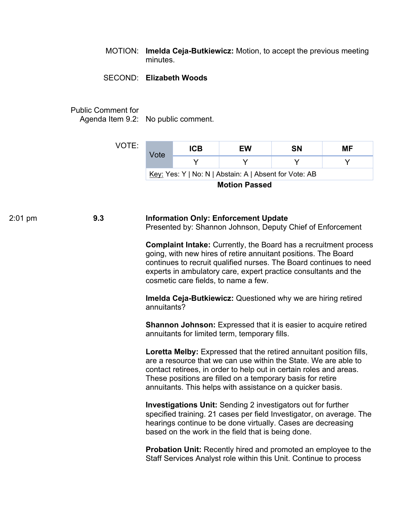MOTION: **Imelda Ceja-Butkiewicz:** Motion, to accept the previous meeting minutes.

## SECOND: **Elizabeth Woods**

Public Comment for

Agenda Item 9.2: No public comment.

VOTE:

| Vote                                                   | <b>ICB</b> | EW | SΝ | МF |  |
|--------------------------------------------------------|------------|----|----|----|--|
|                                                        |            |    |    |    |  |
| Key: Yes: Y   No: N   Abstain: A   Absent for Vote: AB |            |    |    |    |  |
| .                                                      |            |    |    |    |  |

**Motion Passed** 

 $9.3$ 2:01 pm **9.3 Information Only: Enforcement Update** Presented by: Shannon Johnson, Deputy Chief of Enforcement

> **Complaint Intake:** Currently, the Board has a recruitment process going, with new hires of retire annuitant positions. The Board continues to recruit qualified nurses. The Board continues to need experts in ambulatory care, expert practice consultants and the cosmetic care fields, to name a few.

**Imelda Ceja-Butkiewicz:** Questioned why we are hiring retired annuitants?

**Shannon Johnson:** Expressed that it is easier to acquire retired annuitants for limited term, temporary fills.

**Loretta Melby:** Expressed that the retired annuitant position fills, are a resource that we can use within the State. We are able to contact retirees, in order to help out in certain roles and areas. These positions are filled on a temporary basis for retire annuitants. This helps with assistance on a quicker basis.

**Investigations Unit:** Sending 2 investigators out for further specified training. 21 cases per field Investigator, on average. The hearings continue to be done virtually. Cases are decreasing based on the work in the field that is being done.

**Probation Unit:** Recently hired and promoted an employee to the Staff Services Analyst role within this Unit. Continue to process